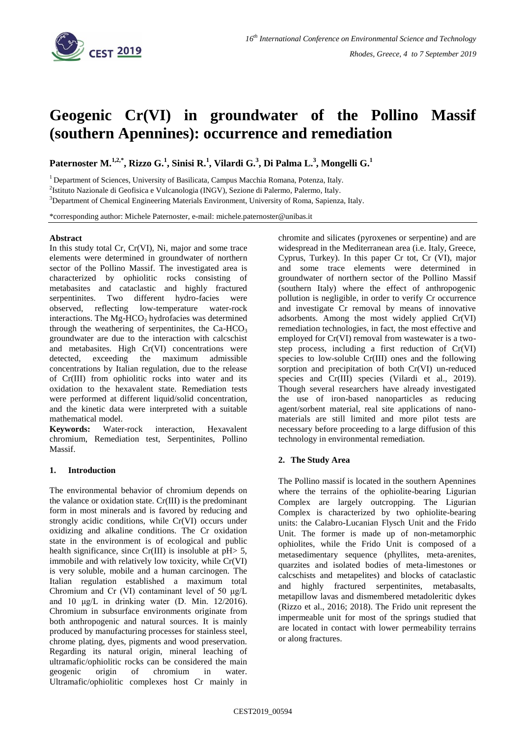

# **Geogenic Cr(VI) in groundwater of the Pollino Massif (southern Apennines): occurrence and remediation**

**Paternoster M.1,2,\* , Rizzo G.<sup>1</sup> , Sinisi R.<sup>1</sup> , Vilardi G.<sup>3</sup> , Di Palma L.<sup>3</sup> , Mongelli G.<sup>1</sup>**

<sup>1</sup> Department of Sciences, University of Basilicata, Campus Macchia Romana, Potenza, Italy.

<sup>2</sup>Istituto Nazionale di Geofisica e Vulcanologia (INGV), Sezione di Palermo, Palermo, Italy.

<sup>3</sup>Department of Chemical Engineering Materials Environment, University of Roma, Sapienza, Italy.

\*corresponding author: Michele Paternoster, e-mail: michele.paternoster@unibas.it

## **Abstract**

In this study total Cr, Cr(VI), Ni, major and some trace elements were determined in groundwater of northern sector of the Pollino Massif. The investigated area is characterized by ophiolitic rocks consisting of metabasites and cataclastic and highly fractured serpentinites. Two different hydro-facies were observed, reflecting low-temperature water-rock interactions. The  $Mg-HCO<sub>3</sub>$  hydrofacies was determined through the weathering of serpentinites, the  $Ca-HCO<sub>3</sub>$ groundwater are due to the interaction with calcschist and metabasites. High Cr(VI) concentrations were detected, exceeding the maximum admissible concentrations by Italian regulation, due to the release of Cr(III) from ophiolitic rocks into water and its oxidation to the hexavalent state. Remediation tests were performed at different liquid/solid concentration, and the kinetic data were interpreted with a suitable mathematical model.

**Keywords:** Water-rock interaction, Hexavalent chromium, Remediation test, Serpentinites, Pollino Massif.

## **1. Introduction**

The environmental behavior of chromium depends on the valance or oxidation state. Cr(III) is the predominant form in most minerals and is favored by reducing and strongly acidic conditions, while Cr(VI) occurs under oxidizing and alkaline conditions. The Cr oxidation state in the environment is of ecological and public health significance, since  $Cr(III)$  is insoluble at  $pH > 5$ , immobile and with relatively low toxicity, while Cr(VI) is very soluble, mobile and a human carcinogen. The Italian regulation established a maximum total Chromium and Cr (VI) contaminant level of 50 μg/L and 10 μg/L in drinking water (D. Min. 12/2016). Chromium in subsurface environments originate from both anthropogenic and natural sources. It is mainly produced by manufacturing processes for stainless steel, chrome plating, dyes, pigments and wood preservation. Regarding its natural origin, mineral leaching of ultramafic/ophiolitic rocks can be considered the main geogenic origin of chromium in water. Ultramafic/ophiolitic complexes host Cr mainly in

chromite and silicates (pyroxenes or serpentine) and are widespread in the Mediterranean area (i.e. Italy, Greece, Cyprus, Turkey). In this paper Cr tot, Cr (VI), major and some trace elements were determined in groundwater of northern sector of the Pollino Massif (southern Italy) where the effect of anthropogenic pollution is negligible, in order to verify Cr occurrence and investigate Cr removal by means of innovative adsorbents. Among the most widely applied Cr(VI) remediation technologies, in fact, the most effective and employed for Cr(VI) removal from wastewater is a twostep process, including a first reduction of Cr(VI) species to low-soluble Cr(III) ones and the following sorption and precipitation of both Cr(VI) un-reduced species and Cr(III) species (Vilardi et al., 2019). Though several researchers have already investigated the use of iron-based nanoparticles as reducing agent/sorbent material, real site applications of nanomaterials are still limited and more pilot tests are necessary before proceeding to a large diffusion of this technology in environmental remediation.

# **2. The Study Area**

The Pollino massif is located in the southern Apennines where the terrains of the ophiolite-bearing Ligurian Complex are largely outcropping. The Ligurian Complex is characterized by two ophiolite-bearing units: the Calabro-Lucanian Flysch Unit and the Frido Unit. The former is made up of non-metamorphic ophiolites, while the Frido Unit is composed of a metasedimentary sequence (phyllites, meta-arenites, quarzites and isolated bodies of meta-limestones or calcschists and metapelites) and blocks of cataclastic and highly fractured serpentinites, metabasalts, metapillow lavas and dismembered metadoleritic dykes (Rizzo et al., 2016; 2018). The Frido unit represent the impermeable unit for most of the springs studied that are located in contact with lower permeability terrains or along fractures.